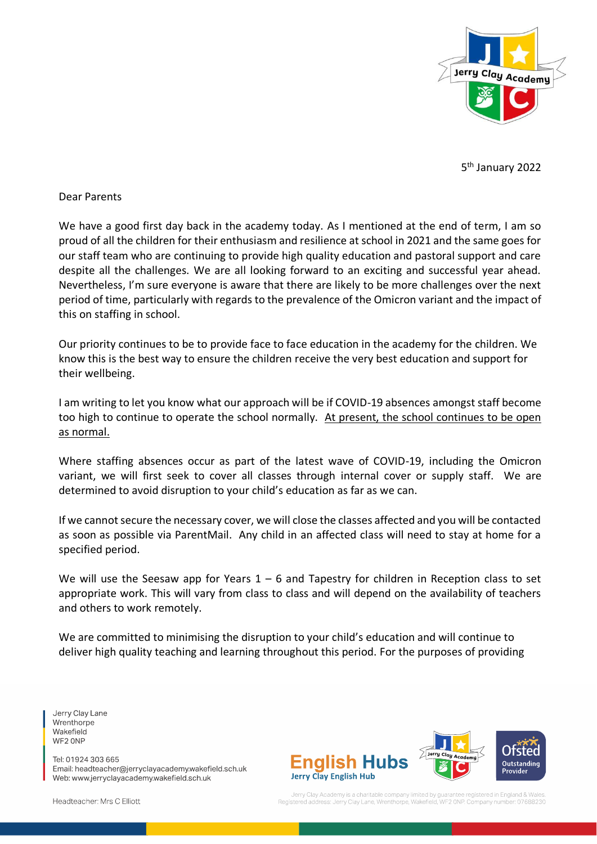

5<sup>th</sup> January 2022

### Dear Parents

We have a good first day back in the academy today. As I mentioned at the end of term, I am so proud of all the children for their enthusiasm and resilience at school in 2021 and the same goes for our staff team who are continuing to provide high quality education and pastoral support and care despite all the challenges. We are all looking forward to an exciting and successful year ahead. Nevertheless, I'm sure everyone is aware that there are likely to be more challenges over the next period of time, particularly with regards to the prevalence of the Omicron variant and the impact of this on staffing in school.

Our priority continues to be to provide face to face education in the academy for the children. We know this is the best way to ensure the children receive the very best education and support for their wellbeing.

I am writing to let you know what our approach will be if COVID-19 absences amongst staff become too high to continue to operate the school normally. At present, the school continues to be open as normal.

Where staffing absences occur as part of the latest wave of COVID-19, including the Omicron variant, we will first seek to cover all classes through internal cover or supply staff. We are determined to avoid disruption to your child's education as far as we can.

If we cannot secure the necessary cover, we will close the classes affected and you will be contacted as soon as possible via ParentMail. Any child in an affected class will need to stay at home for a specified period.

We will use the Seesaw app for Years  $1 - 6$  and Tapestry for children in Reception class to set appropriate work. This will vary from class to class and will depend on the availability of teachers and others to work remotely.

We are committed to minimising the disruption to your child's education and will continue to deliver high quality teaching and learning throughout this period. For the purposes of providing

Jerry Clay Lane Wrenthorpe Wakefield WF2 ONP

Tel: 01924 303 665 Email: headteacher@jerryclayacademy.wakefield.sch.uk Web: www.jerryclayacademy.wakefield.sch.uk



Headteacher: Mrs C Elliott

Jerry Clay Academy is a charitable company limited by qua egistered in England & Wales Jerry Clay Lane, Wrenthorpe, Wakefield, WF2 ONP, Company num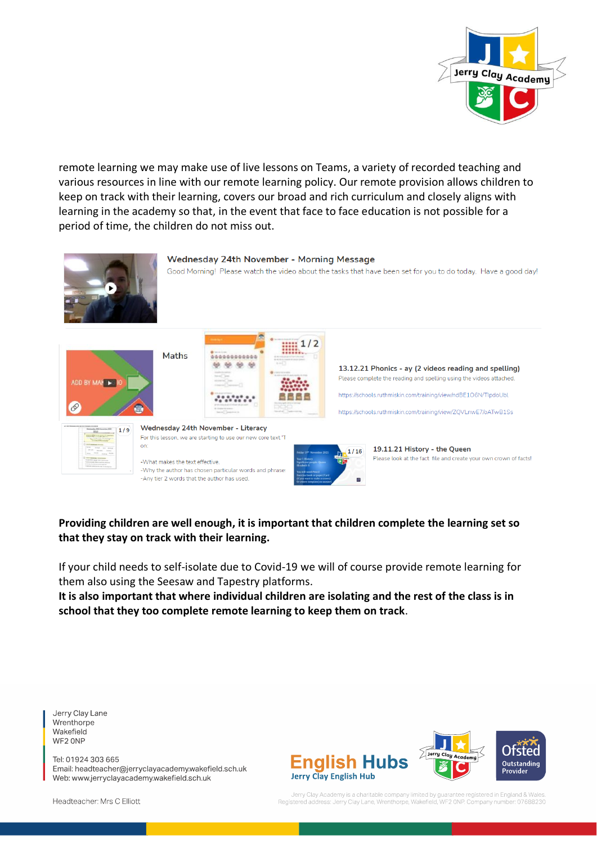

remote learning we may make use of live lessons on Teams, a variety of recorded teaching and various resources in line with our remote learning policy. Our remote provision allows children to keep on track with their learning, covers our broad and rich curriculum and closely aligns with learning in the academy so that, in the event that face to face education is not possible for a period of time, the children do not miss out.



# **Providing children are well enough, it is important that children complete the learning set so that they stay on track with their learning.**

If your child needs to self-isolate due to Covid-19 we will of course provide remote learning for them also using the Seesaw and Tapestry platforms.

**It is also important that where individual children are isolating and the rest of the class is in school that they too complete remote learning to keep them on track**.

Jerry Clay Lane Wrenthorpe Wakefield WF2 ONP

Tel: 01924 303 665 Email: headteacher@jerryclayacademy.wakefield.sch.uk Web: www.jerryclayacademy.wakefield.sch.uk



Jerry Clay Academy is a charitable company limited by guarantee registered in England & Wales.<br>Registered address: Jerry Clay Lane, Wrenthorpe, Wakefield, WF2 ONP. Company number: 07688230

Headteacher: Mrs C Elliott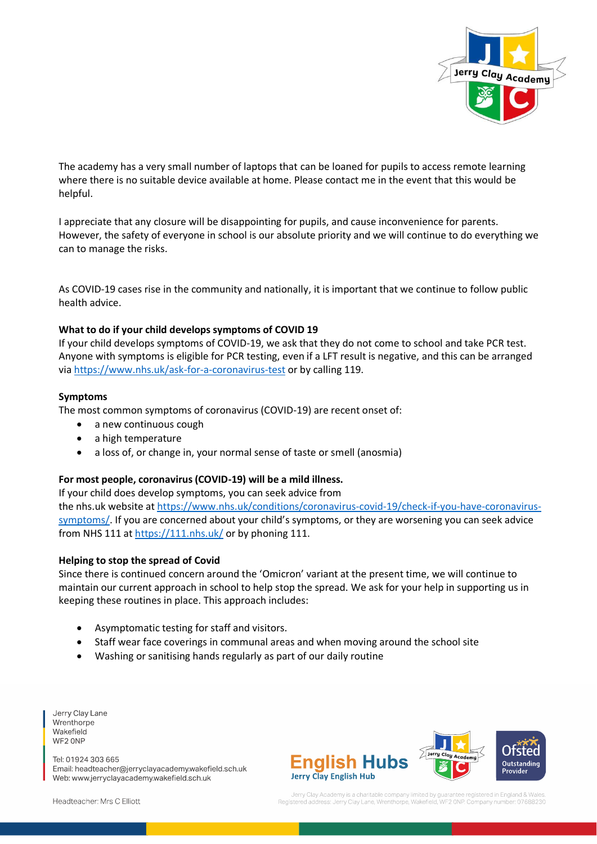

The academy has a very small number of laptops that can be loaned for pupils to access remote learning where there is no suitable device available at home. Please contact me in the event that this would be helpful.

I appreciate that any closure will be disappointing for pupils, and cause inconvenience for parents. However, the safety of everyone in school is our absolute priority and we will continue to do everything we can to manage the risks.

As COVID-19 cases rise in the community and nationally, it is important that we continue to follow public health advice.

#### **What to do if your child develops symptoms of COVID 19**

If your child develops symptoms of COVID-19, we ask that they do not come to school and take PCR test. Anyone with symptoms is eligible for PCR testing, even if a LFT result is negative, and this can be arranged via <https://www.nhs.uk/ask-for-a-coronavirus-test> or by calling 119.

#### **Symptoms**

The most common symptoms of coronavirus (COVID-19) are recent onset of:

- a new continuous cough
- a high temperature
- a loss of, or change in, your normal sense of taste or smell (anosmia)

#### **For most people, coronavirus (COVID-19) will be a mild illness.**

If your child does develop symptoms, you can seek advice from

the nhs.uk website at [https://www.nhs.uk/conditions/coronavirus-covid-19/check-if-you-have-coronavirus](https://www.nhs.uk/conditions/coronavirus-covid-19/check-if-you-have-coronavirus-symptoms/)[symptoms/](https://www.nhs.uk/conditions/coronavirus-covid-19/check-if-you-have-coronavirus-symptoms/). If you are concerned about your child's symptoms, or they are worsening you can seek advice from NHS 111 at <https://111.nhs.uk/> or by phoning 111.

#### **Helping to stop the spread of Covid**

Since there is continued concern around the 'Omicron' variant at the present time, we will continue to maintain our current approach in school to help stop the spread. We ask for your help in supporting us in keeping these routines in place. This approach includes:

- Asymptomatic testing for staff and visitors.
- Staff wear face coverings in communal areas and when moving around the school site
- Washing or sanitising hands regularly as part of our daily routine

Jerry Clay Lane Wrenthorpe Wakefield WF2 ONP

Tel: 01924 303 665 Email: headteacher@jerryclayacademy.wakefield.sch.uk Web: www.jerryclayacademy.wakefield.sch.uk





Headteacher: Mrs C Elliott

Jerry Clay Academy is a charitable company limited by qua registered in England & Wales ess: Jerry Clay Lane, Wrenthorpe, Wakefield, WF2 ONP. Company nun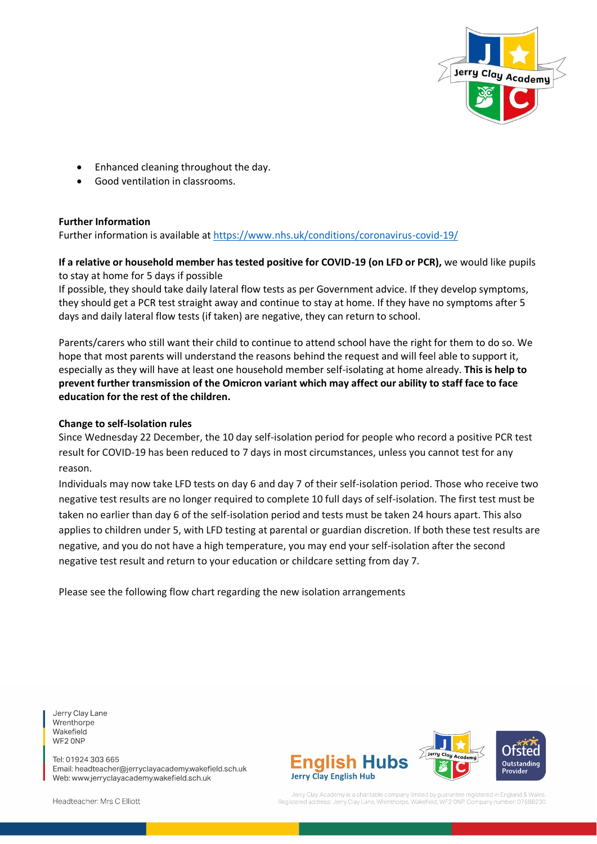

- Enhanced cleaning throughout the day.
- Good ventilation in classrooms.

#### **Further Information**

Further information is available at <https://www.nhs.uk/conditions/coronavirus-covid-19/>

## **If a relative or household member has tested positive for COVID-19 (on LFD or PCR),** we would like pupils to stay at home for 5 days if possible

If possible, they should take daily lateral flow tests as per Government advice. If they develop symptoms, they should get a PCR test straight away and continue to stay at home. If they have no symptoms after 5 days and daily lateral flow tests (if taken) are negative, they can return to school.

Parents/carers who still want their child to continue to attend school have the right for them to do so. We hope that most parents will understand the reasons behind the request and will feel able to support it, especially as they will have at least one household member self-isolating at home already. **This is help to prevent further transmission of the Omicron variant which may affect our ability to staff face to face education for the rest of the children.** 

#### **Change to self-Isolation rules**

Since Wednesday 22 December, the 10 day self-isolation period for people who record a positive PCR test result for COVID-19 has been reduced to 7 days in most circumstances, unless you cannot test for any reason.

Individuals may now take LFD tests on day 6 and day 7 of their self-isolation period. Those who receive two negative test results are no longer required to complete 10 full days of self-isolation. The first test must be taken no earlier than day 6 of the self-isolation period and tests must be taken 24 hours apart. This also applies to children under 5, with LFD testing at parental or guardian discretion. If both these test results are negative, and you do not have a high temperature, you may end your self-isolation after the second negative test result and return to your education or childcare setting from day 7.

Please see the following flow chart regarding the new isolation arrangements

Jerry Clay Lane Wrenthorpe Wakefield WF2 ONP

Tel: 01924 303 665 Email: headteacher@jerryclayacademy.wakefield.sch.uk Web: www.jerryclayacademy.wakefield.sch.uk



Jerry Clay Academy is a charitable company limited by quara tee registered in England & Wales ress: Jerry Clay Lane, Wrenthorpe, Wakefield, WF2 ONP. Company numb

Headteacher: Mrs C Elliott